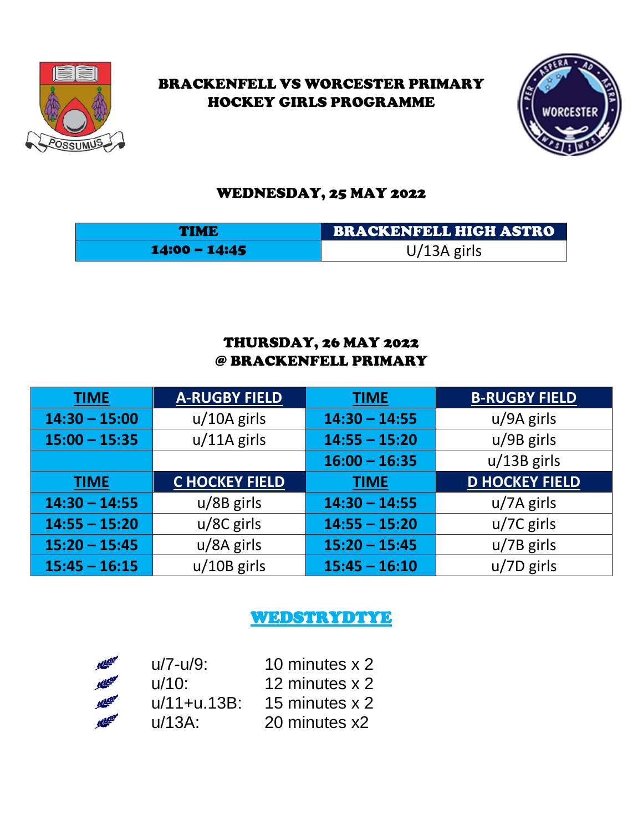

## BRACKENFELL VS WORCESTER PRIMARY HOCKEY GIRLS PROGRAMME



### WEDNESDAY, 25 MAY 2022

| <b>TIME</b>     | BRACKENFELL HIGH ASTRO |
|-----------------|------------------------|
| $14:00 - 14:45$ | $U/13A$ girls          |

## THURSDAY, 26 MAY 2022 @ BRACKENFELL PRIMARY

| <b>TIME</b>     | <b>A-RUGBY FIELD</b> | <b>TIME</b>     | <b>B-RUGBY FIELD</b>  |
|-----------------|----------------------|-----------------|-----------------------|
| $14:30 - 15:00$ | $u/10A$ girls        | $14:30 - 14:55$ | u/9A girls            |
| $15:00 - 15:35$ | $u/11A$ girls        | $14:55 - 15:20$ | $u/9B$ girls          |
|                 |                      | $16:00 - 16:35$ | $u/13B$ girls         |
| <b>TIME</b>     | <b>CHOCKEY FIELD</b> | <b>TIME</b>     | <b>D HOCKEY FIELD</b> |
| $14:30 - 14:55$ | $u/8B$ girls         | $14:30 - 14:55$ | $u/7A$ girls          |
| $14:55 - 15:20$ | $u/8C$ girls         | $14:55 - 15:20$ | $u/7C$ girls          |
| $15:20 - 15:45$ | u/8A girls           | $15:20 - 15:45$ | $u/7B$ girls          |
| $15:45 - 16:15$ | $u/10B$ girls        | $15:45 - 16:10$ | $u/7D$ girls          |

# WEDSTRYDTYE

| <b>All Class</b>  | $u/7 - u/9$ :  | 10 minutes x 2 |
|-------------------|----------------|----------------|
| <b>Altitude</b>   | $u/10$ :       | 12 minutes x 2 |
| <b>Altitude</b>   | $u/11+u.13B$ : | 15 minutes x 2 |
| <b>All Little</b> | $u/13A$ :      | 20 minutes x2  |